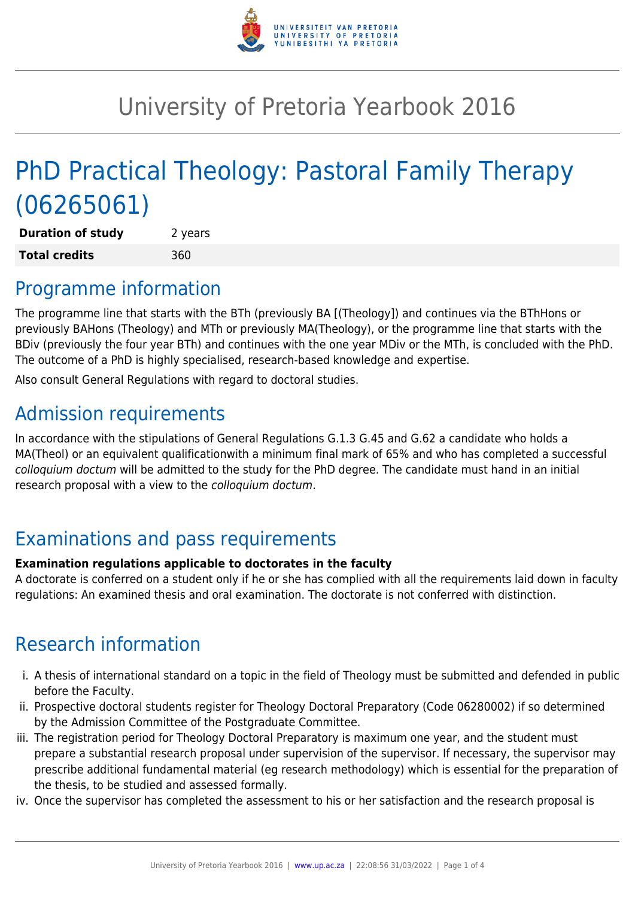

# University of Pretoria Yearbook 2016

# PhD Practical Theology: Pastoral Family Therapy (06265061)

**Duration of study** 2 years **Total credits** 360

### Programme information

The programme line that starts with the BTh (previously BA [(Theology]) and continues via the BThHons or previously BAHons (Theology) and MTh or previously MA(Theology), or the programme line that starts with the BDiv (previously the four year BTh) and continues with the one year MDiv or the MTh, is concluded with the PhD. The outcome of a PhD is highly specialised, research-based knowledge and expertise.

Also consult General Regulations with regard to doctoral studies.

# Admission requirements

In accordance with the stipulations of General Regulations G.1.3 G.45 and G.62 a candidate who holds a MA(Theol) or an equivalent qualificationwith a minimum final mark of 65% and who has completed a successful colloquium doctum will be admitted to the study for the PhD degree. The candidate must hand in an initial research proposal with a view to the colloquium doctum.

## Examinations and pass requirements

#### **Examination regulations applicable to doctorates in the faculty**

A doctorate is conferred on a student only if he or she has complied with all the requirements laid down in faculty regulations: An examined thesis and oral examination. The doctorate is not conferred with distinction.

## Research information

- i. A thesis of international standard on a topic in the field of Theology must be submitted and defended in public before the Faculty.
- ii. Prospective doctoral students register for Theology Doctoral Preparatory (Code 06280002) if so determined by the Admission Committee of the Postgraduate Committee.
- iii. The registration period for Theology Doctoral Preparatory is maximum one year, and the student must prepare a substantial research proposal under supervision of the supervisor. If necessary, the supervisor may prescribe additional fundamental material (eg research methodology) which is essential for the preparation of the thesis, to be studied and assessed formally.
- iv. Once the supervisor has completed the assessment to his or her satisfaction and the research proposal is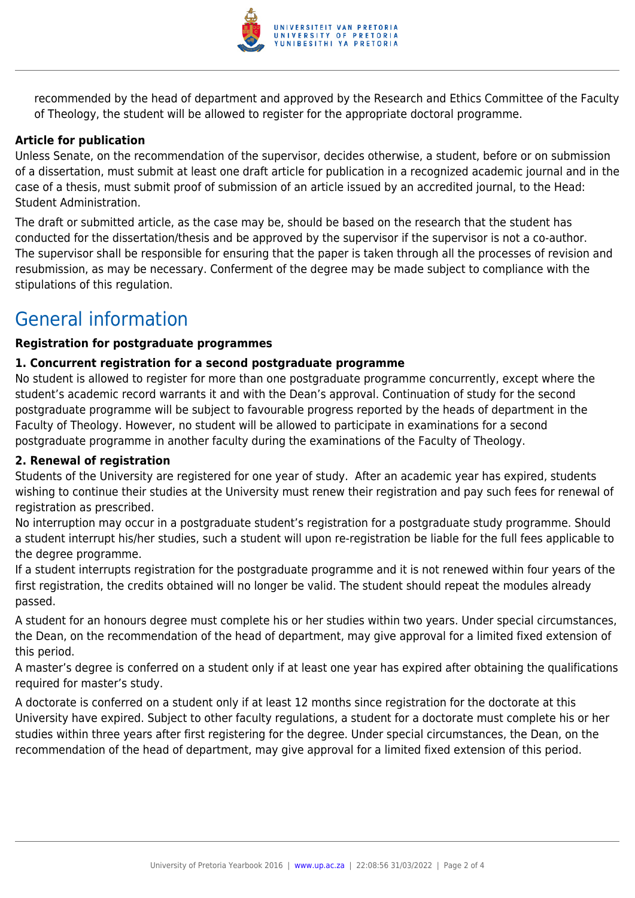

recommended by the head of department and approved by the Research and Ethics Committee of the Faculty of Theology, the student will be allowed to register for the appropriate doctoral programme.

#### **Article for publication**

Unless Senate, on the recommendation of the supervisor, decides otherwise, a student, before or on submission of a dissertation, must submit at least one draft article for publication in a recognized academic journal and in the case of a thesis, must submit proof of submission of an article issued by an accredited journal, to the Head: Student Administration.

The draft or submitted article, as the case may be, should be based on the research that the student has conducted for the dissertation/thesis and be approved by the supervisor if the supervisor is not a co-author. The supervisor shall be responsible for ensuring that the paper is taken through all the processes of revision and resubmission, as may be necessary. Conferment of the degree may be made subject to compliance with the stipulations of this regulation.

### General information

#### **Registration for postgraduate programmes**

#### **1. Concurrent registration for a second postgraduate programme**

No student is allowed to register for more than one postgraduate programme concurrently, except where the student's academic record warrants it and with the Dean's approval. Continuation of study for the second postgraduate programme will be subject to favourable progress reported by the heads of department in the Faculty of Theology. However, no student will be allowed to participate in examinations for a second postgraduate programme in another faculty during the examinations of the Faculty of Theology.

#### **2. Renewal of registration**

Students of the University are registered for one year of study. After an academic year has expired, students wishing to continue their studies at the University must renew their registration and pay such fees for renewal of registration as prescribed.

No interruption may occur in a postgraduate student's registration for a postgraduate study programme. Should a student interrupt his/her studies, such a student will upon re-registration be liable for the full fees applicable to the degree programme.

If a student interrupts registration for the postgraduate programme and it is not renewed within four years of the first registration, the credits obtained will no longer be valid. The student should repeat the modules already passed.

A student for an honours degree must complete his or her studies within two years. Under special circumstances, the Dean, on the recommendation of the head of department, may give approval for a limited fixed extension of this period.

A master's degree is conferred on a student only if at least one year has expired after obtaining the qualifications required for master's study.

A doctorate is conferred on a student only if at least 12 months since registration for the doctorate at this University have expired. Subject to other faculty regulations, a student for a doctorate must complete his or her studies within three years after first registering for the degree. Under special circumstances, the Dean, on the recommendation of the head of department, may give approval for a limited fixed extension of this period.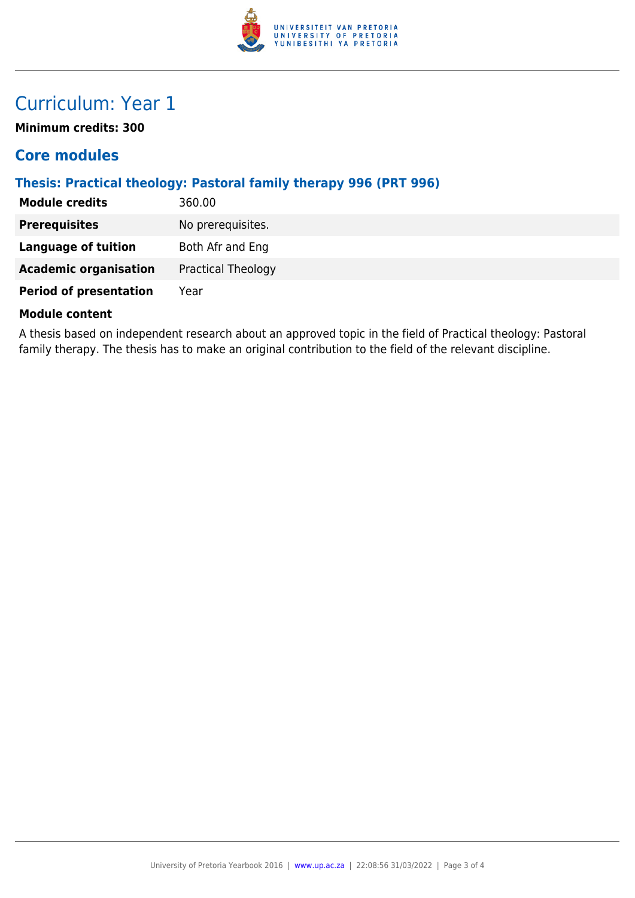

## Curriculum: Year 1

**Minimum credits: 300**

### **Core modules**

### **Thesis: Practical theology: Pastoral family therapy 996 (PRT 996)**

| <b>Module credits</b>         | 360.00                    |
|-------------------------------|---------------------------|
| <b>Prerequisites</b>          | No prerequisites.         |
| <b>Language of tuition</b>    | Both Afr and Eng          |
| <b>Academic organisation</b>  | <b>Practical Theology</b> |
| <b>Period of presentation</b> | Year                      |
|                               |                           |

#### **Module content**

A thesis based on independent research about an approved topic in the field of Practical theology: Pastoral family therapy. The thesis has to make an original contribution to the field of the relevant discipline.